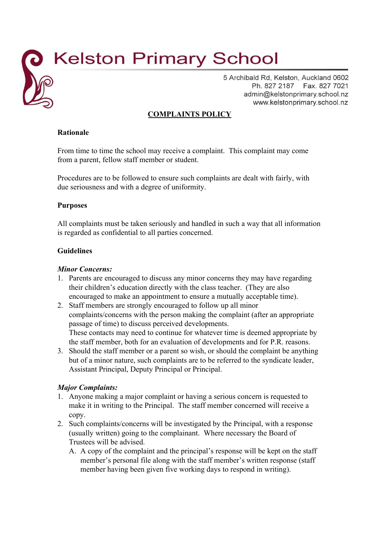# **Kelston Primary School**

5 Archibald Rd, Kelston, Auckland 0602 Ph. 827 2187 Fax. 827 7021 admin@kelstonprimary.school.nz www.kelstonprimary.school.nz

## **COMPLAINTS POLICY**

#### **Rationale**

From time to time the school may receive a complaint. This complaint may come from a parent, fellow staff member or student.

Procedures are to be followed to ensure such complaints are dealt with fairly, with due seriousness and with a degree of uniformity.

#### **Purposes**

All complaints must be taken seriously and handled in such a way that all information is regarded as confidential to all parties concerned.

#### **Guidelines**

#### *Minor Concerns:*

- 1. Parents are encouraged to discuss any minor concerns they may have regarding their children's education directly with the class teacher. (They are also encouraged to make an appointment to ensure a mutually acceptable time).
- 2. Staff members are strongly encouraged to follow up all minor complaints/concerns with the person making the complaint (after an appropriate passage of time) to discuss perceived developments. These contacts may need to continue for whatever time is deemed appropriate by the staff member, both for an evaluation of developments and for P.R. reasons.
- 3. Should the staff member or a parent so wish, or should the complaint be anything but of a minor nature, such complaints are to be referred to the syndicate leader, Assistant Principal, Deputy Principal or Principal.

### *Major Complaints:*

- 1. Anyone making a major complaint or having a serious concern is requested to make it in writing to the Principal. The staff member concerned will receive a copy.
- 2. Such complaints/concerns will be investigated by the Principal, with a response (usually written) going to the complainant. Where necessary the Board of Trustees will be advised.
	- A. A copy of the complaint and the principal's response will be kept on the staff member's personal file along with the staff member's written response (staff member having been given five working days to respond in writing).